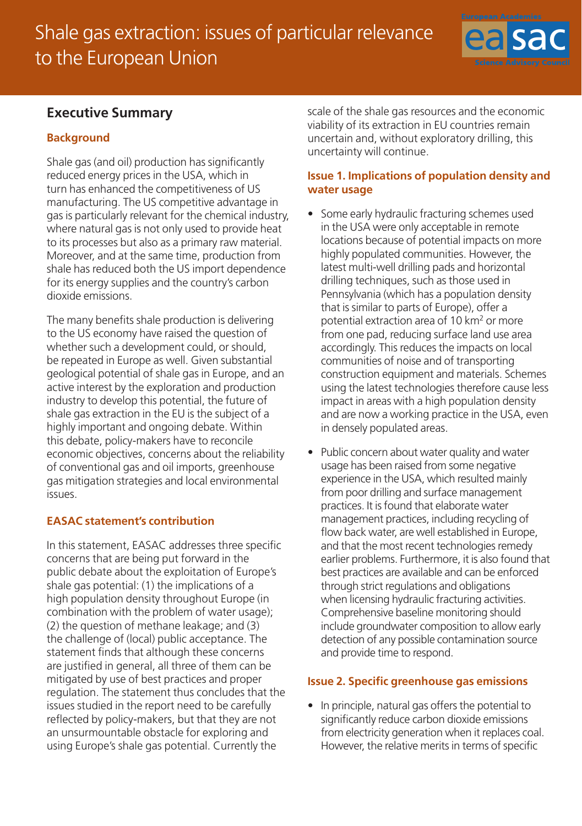# Shale gas extraction: issues of particular relevance to the European Union



## **Executive Summary**

## **Background**

Shale gas (and oil) production has significantly reduced energy prices in the USA, which in turn has enhanced the competitiveness of US manufacturing. The US competitive advantage in gas is particularly relevant for the chemical industry, where natural gas is not only used to provide heat to its processes but also as a primary raw material. Moreover, and at the same time, production from shale has reduced both the US import dependence for its energy supplies and the country's carbon dioxide emissions.

The many benefits shale production is delivering to the US economy have raised the question of whether such a development could, or should, be repeated in Europe as well. Given substantial geological potential of shale gas in Europe, and an active interest by the exploration and production industry to develop this potential, the future of shale gas extraction in the EU is the subject of a highly important and ongoing debate. Within this debate, policy-makers have to reconcile economic objectives, concerns about the reliability of conventional gas and oil imports, greenhouse gas mitigation strategies and local environmental issues.

## **EASAC statement's contribution**

In this statement, EASAC addresses three specific concerns that are being put forward in the public debate about the exploitation of Europe's shale gas potential: (1) the implications of a high population density throughout Europe (in combination with the problem of water usage); (2) the question of methane leakage; and (3) the challenge of (local) public acceptance. The statement finds that although these concerns are justified in general, all three of them can be mitigated by use of best practices and proper regulation. The statement thus concludes that the issues studied in the report need to be carefully reflected by policy-makers, but that they are not an unsurmountable obstacle for exploring and using Europe's shale gas potential. Currently the

scale of the shale gas resources and the economic viability of its extraction in EU countries remain uncertain and, without exploratory drilling, this uncertainty will continue.

#### **Issue 1. Implications of population density and water usage**

- Some early hydraulic fracturing schemes used in the USA were only acceptable in remote locations because of potential impacts on more highly populated communities. However, the latest multi-well drilling pads and horizontal drilling techniques, such as those used in Pennsylvania (which has a population density that is similar to parts of Europe), offer a potential extraction area of 10 km<sup>2</sup> or more from one pad, reducing surface land use area accordingly. This reduces the impacts on local communities of noise and of transporting construction equipment and materials. Schemes using the latest technologies therefore cause less impact in areas with a high population density and are now a working practice in the USA, even in densely populated areas.
- Public concern about water quality and water usage has been raised from some negative experience in the USA, which resulted mainly from poor drilling and surface management practices. It is found that elaborate water management practices, including recycling of flow back water, are well established in Europe, and that the most recent technologies remedy earlier problems. Furthermore, it is also found that best practices are available and can be enforced through strict regulations and obligations when licensing hydraulic fracturing activities. Comprehensive baseline monitoring should include groundwater composition to allow early detection of any possible contamination source and provide time to respond.

## **Issue 2. Specific greenhouse gas emissions**

• In principle, natural gas offers the potential to significantly reduce carbon dioxide emissions from electricity generation when it replaces coal. However, the relative merits in terms of specific